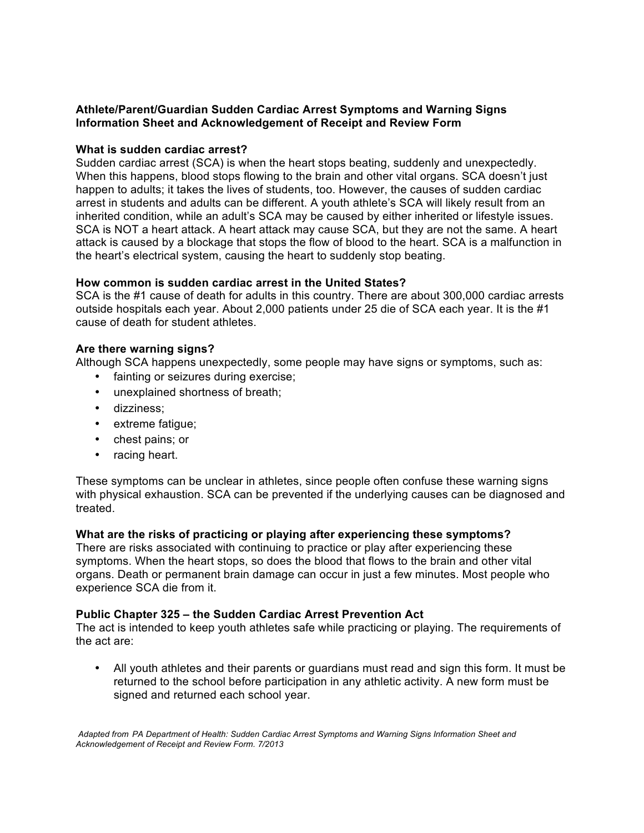# **Athlete/Parent/Guardian Sudden Cardiac Arrest Symptoms and Warning Signs Information Sheet and Acknowledgement of Receipt and Review Form**

## **What is sudden cardiac arrest?**

Sudden cardiac arrest (SCA) is when the heart stops beating, suddenly and unexpectedly. When this happens, blood stops flowing to the brain and other vital organs. SCA doesn't just happen to adults; it takes the lives of students, too. However, the causes of sudden cardiac arrest in students and adults can be different. A youth athlete's SCA will likely result from an inherited condition, while an adult's SCA may be caused by either inherited or lifestyle issues. SCA is NOT a heart attack. A heart attack may cause SCA, but they are not the same. A heart attack is caused by a blockage that stops the flow of blood to the heart. SCA is a malfunction in the heart's electrical system, causing the heart to suddenly stop beating.

# **How common is sudden cardiac arrest in the United States?**

SCA is the #1 cause of death for adults in this country. There are about 300,000 cardiac arrests outside hospitals each year. About 2,000 patients under 25 die of SCA each year. It is the #1 cause of death for student athletes.

### **Are there warning signs?**

Although SCA happens unexpectedly, some people may have signs or symptoms, such as:

- fainting or seizures during exercise;
- unexplained shortness of breath;
- dizziness;
- extreme fatigue;
- chest pains; or
- racing heart.

These symptoms can be unclear in athletes, since people often confuse these warning signs with physical exhaustion. SCA can be prevented if the underlying causes can be diagnosed and treated.

### **What are the risks of practicing or playing after experiencing these symptoms?**

There are risks associated with continuing to practice or play after experiencing these symptoms. When the heart stops, so does the blood that flows to the brain and other vital organs. Death or permanent brain damage can occur in just a few minutes. Most people who experience SCA die from it.

### **Public Chapter 325 – the Sudden Cardiac Arrest Prevention Act**

The act is intended to keep youth athletes safe while practicing or playing. The requirements of the act are:

• All youth athletes and their parents or guardians must read and sign this form. It must be returned to the school before participation in any athletic activity. A new form must be signed and returned each school year.